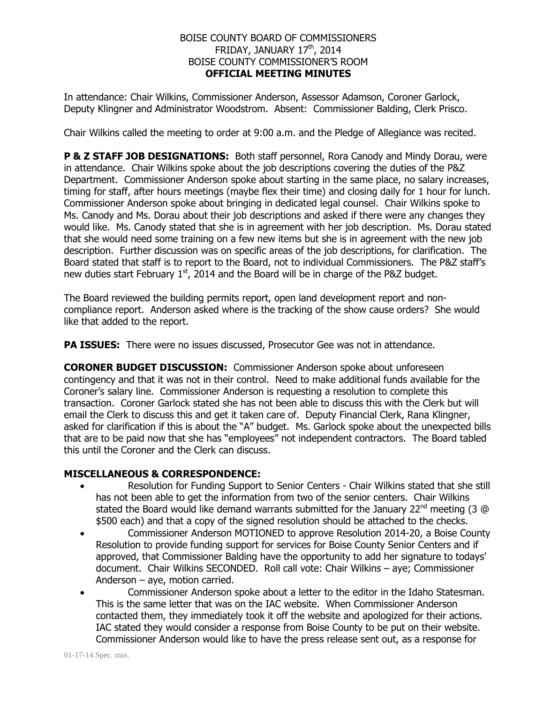## BOISE COUNTY BOARD OF COMMISSIONERS FRIDAY, JANUARY 17<sup>th</sup>, 2014 BOISE COUNTY COMMISSIONER'S ROOM **OFFICIAL MEETING MINUTES**

In attendance: Chair Wilkins, Commissioner Anderson, Assessor Adamson, Coroner Garlock, Deputy Klingner and Administrator Woodstrom. Absent: Commissioner Balding, Clerk Prisco.

Chair Wilkins called the meeting to order at 9:00 a.m. and the Pledge of Allegiance was recited.

**P & Z STAFF JOB DESIGNATIONS:** Both staff personnel, Rora Canody and Mindy Dorau, were in attendance. Chair Wilkins spoke about the job descriptions covering the duties of the P&Z Department. Commissioner Anderson spoke about starting in the same place, no salary increases, timing for staff, after hours meetings (maybe flex their time) and closing daily for 1 hour for lunch. Commissioner Anderson spoke about bringing in dedicated legal counsel. Chair Wilkins spoke to Ms. Canody and Ms. Dorau about their job descriptions and asked if there were any changes they would like. Ms. Canody stated that she is in agreement with her job description. Ms. Dorau stated that she would need some training on a few new items but she is in agreement with the new job description. Further discussion was on specific areas of the job descriptions, for clarification. The Board stated that staff is to report to the Board, not to individual Commissioners. The P&Z staff's new duties start February  $1<sup>st</sup>$ , 2014 and the Board will be in charge of the P&Z budget.

The Board reviewed the building permits report, open land development report and noncompliance report. Anderson asked where is the tracking of the show cause orders? She would like that added to the report.

**PA ISSUES:** There were no issues discussed, Prosecutor Gee was not in attendance.

**CORONER BUDGET DISCUSSION:** Commissioner Anderson spoke about unforeseen contingency and that it was not in their control. Need to make additional funds available for the Coroner's salary line. Commissioner Anderson is requesting a resolution to complete this transaction. Coroner Garlock stated she has not been able to discuss this with the Clerk but will email the Clerk to discuss this and get it taken care of. Deputy Financial Clerk, Rana Klingner, asked for clarification if this is about the "A" budget. Ms. Garlock spoke about the unexpected bills that are to be paid now that she has "employees" not independent contractors. The Board tabled this until the Coroner and the Clerk can discuss.

## **MISCELLANEOUS & CORRESPONDENCE:**

- Resolution for Funding Support to Senior Centers Chair Wilkins stated that she still has not been able to get the information from two of the senior centers. Chair Wilkins stated the Board would like demand warrants submitted for the January 22<sup>nd</sup> meeting (3 @ \$500 each) and that a copy of the signed resolution should be attached to the checks.
- Commissioner Anderson MOTIONED to approve Resolution 2014-20, a Boise County Resolution to provide funding support for services for Boise County Senior Centers and if approved, that Commissioner Balding have the opportunity to add her signature to todays' document. Chair Wilkins SECONDED. Roll call vote: Chair Wilkins – aye; Commissioner Anderson – aye, motion carried.
- Commissioner Anderson spoke about a letter to the editor in the Idaho Statesman. This is the same letter that was on the IAC website. When Commissioner Anderson contacted them, they immediately took it off the website and apologized for their actions. IAC stated they would consider a response from Boise County to be put on their website. Commissioner Anderson would like to have the press release sent out, as a response for